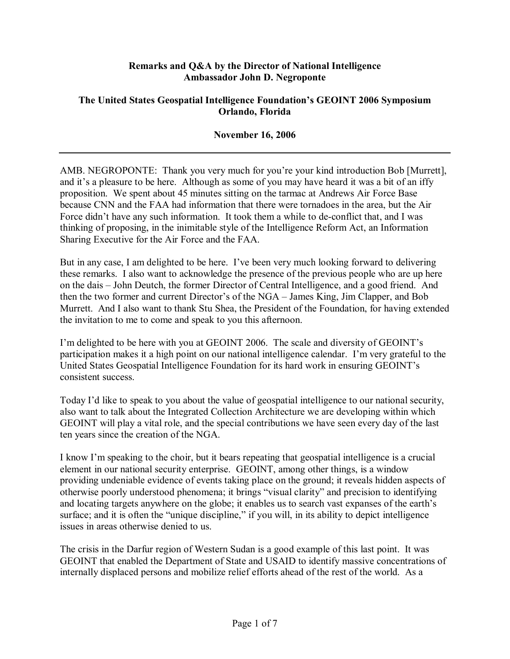## **Remarks and Q&A by the Director of National Intelligence Ambassador John D. Negroponte**

## **The United States Geospatial Intelligence Foundation's GEOINT 2006 Symposium Orlando, Florida**

## **November 16, 2006**

AMB. NEGROPONTE: Thank you very much for you're your kind introduction Bob [Murrett], and it's a pleasure to be here. Although as some of you may have heard it was a bit of an iffy proposition. We spent about 45 minutes sitting on the tarmac at Andrews Air Force Base because CNN and the FAA had information that there were tornadoes in the area, but the Air Force didn't have any such information. It took them a while to de-conflict that, and I was thinking of proposing, in the inimitable style of the Intelligence Reform Act, an Information Sharing Executive for the Air Force and the FAA.

But in any case, I am delighted to be here. I've been very much looking forward to delivering these remarks. I also want to acknowledge the presence of the previous people who are up here on the dais – John Deutch, the former Director of Central Intelligence, and a good friend. And then the two former and current Director's of the NGA – James King, Jim Clapper, and Bob Murrett. And I also want to thank Stu Shea, the President of the Foundation, for having extended the invitation to me to come and speak to you this afternoon.

I'm delighted to be here with you at GEOINT 2006. The scale and diversity of GEOINT's participation makes it a high point on our national intelligence calendar. I'm very grateful to the United States Geospatial Intelligence Foundation for its hard work in ensuring GEOINT's consistent success.

Today I'd like to speak to you about the value of geospatial intelligence to our national security, also want to talk about the Integrated Collection Architecture we are developing within which GEOINT will play a vital role, and the special contributions we have seen every day of the last ten years since the creation of the NGA.

I know I'm speaking to the choir, but it bears repeating that geospatial intelligence is a crucial element in our national security enterprise. GEOINT, among other things, is a window providing undeniable evidence of events taking place on the ground; it reveals hidden aspects of otherwise poorly understood phenomena; it brings "visual clarity" and precision to identifying and locating targets anywhere on the globe; it enables us to search vast expanses of the earth's surface; and it is often the "unique discipline," if you will, in its ability to depict intelligence issues in areas otherwise denied to us.

The crisis in the Darfur region of Western Sudan is a good example of this last point. It was GEOINT that enabled the Department of State and USAID to identify massive concentrations of internally displaced persons and mobilize relief efforts ahead of the rest of the world. As a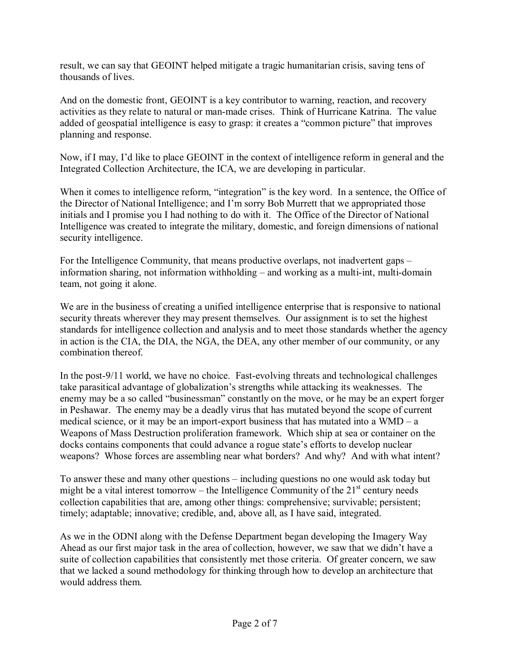result, we can say that GEOINT helped mitigate a tragic humanitarian crisis, saving tens of thousands of lives.

And on the domestic front, GEOINT is a key contributor to warning, reaction, and recovery activities as they relate to natural or man-made crises. Think of Hurricane Katrina. The value added of geospatial intelligence is easy to grasp: it creates a "common picture" that improves planning and response.

Now, if I may, I'd like to place GEOINT in the context of intelligence reform in general and the Integrated Collection Architecture, the ICA, we are developing in particular.

When it comes to intelligence reform, "integration" is the key word. In a sentence, the Office of the Director of National Intelligence; and Iím sorry Bob Murrett that we appropriated those initials and I promise you I had nothing to do with it. The Office of the Director of National Intelligence was created to integrate the military, domestic, and foreign dimensions of national security intelligence.

For the Intelligence Community, that means productive overlaps, not inadvertent gaps – information sharing, not information withholding  $-$  and working as a multi-int, multi-domain team, not going it alone.

We are in the business of creating a unified intelligence enterprise that is responsive to national security threats wherever they may present themselves. Our assignment is to set the highest standards for intelligence collection and analysis and to meet those standards whether the agency in action is the CIA, the DIA, the NGA, the DEA, any other member of our community, or any combination thereof.

In the post-9/11 world, we have no choice. Fast-evolving threats and technological challenges take parasitical advantage of globalization's strengths while attacking its weaknesses. The enemy may be a so called "businessman" constantly on the move, or he may be an expert forger in Peshawar. The enemy may be a deadly virus that has mutated beyond the scope of current medical science, or it may be an import-export business that has mutated into a  $WMD - a$ Weapons of Mass Destruction proliferation framework. Which ship at sea or container on the docks contains components that could advance a rogue state's efforts to develop nuclear weapons? Whose forces are assembling near what borders? And why? And with what intent?

To answer these and many other questions – including questions no one would ask today but might be a vital interest tomorrow – the Intelligence Community of the  $21<sup>st</sup>$  century needs collection capabilities that are, among other things: comprehensive; survivable; persistent; timely; adaptable; innovative; credible, and, above all, as I have said, integrated.

As we in the ODNI along with the Defense Department began developing the Imagery Way Ahead as our first major task in the area of collection, however, we saw that we didn't have a suite of collection capabilities that consistently met those criteria. Of greater concern, we saw that we lacked a sound methodology for thinking through how to develop an architecture that would address them.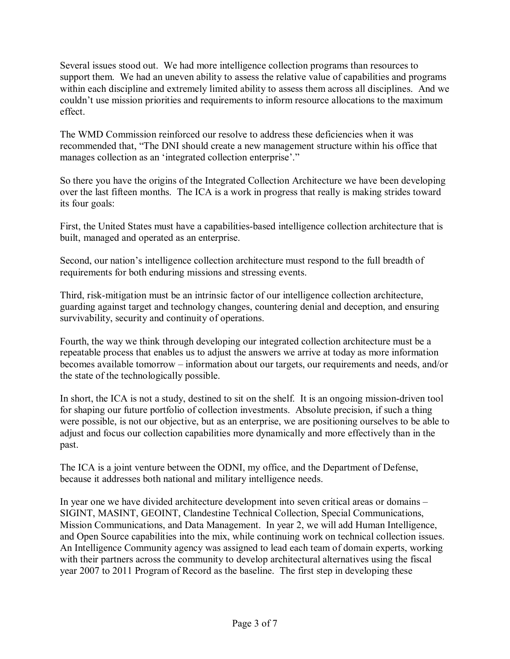Several issues stood out. We had more intelligence collection programs than resources to support them. We had an uneven ability to assess the relative value of capabilities and programs within each discipline and extremely limited ability to assess them across all disciplines. And we couldn't use mission priorities and requirements to inform resource allocations to the maximum effect.

The WMD Commission reinforced our resolve to address these deficiencies when it was recommended that, "The DNI should create a new management structure within his office that manages collection as an 'integrated collection enterprise'."

So there you have the origins of the Integrated Collection Architecture we have been developing over the last fifteen months. The ICA is a work in progress that really is making strides toward its four goals:

First, the United States must have a capabilities-based intelligence collection architecture that is built, managed and operated as an enterprise.

Second, our nation's intelligence collection architecture must respond to the full breadth of requirements for both enduring missions and stressing events.

Third, risk-mitigation must be an intrinsic factor of our intelligence collection architecture, guarding against target and technology changes, countering denial and deception, and ensuring survivability, security and continuity of operations.

Fourth, the way we think through developing our integrated collection architecture must be a repeatable process that enables us to adjust the answers we arrive at today as more information becomes available tomorrow – information about our targets, our requirements and needs, and/or the state of the technologically possible.

In short, the ICA is not a study, destined to sit on the shelf. It is an ongoing mission-driven tool for shaping our future portfolio of collection investments. Absolute precision, if such a thing were possible, is not our objective, but as an enterprise, we are positioning ourselves to be able to adjust and focus our collection capabilities more dynamically and more effectively than in the past.

The ICA is a joint venture between the ODNI, my office, and the Department of Defense, because it addresses both national and military intelligence needs.

In year one we have divided architecture development into seven critical areas or domains – SIGINT, MASINT, GEOINT, Clandestine Technical Collection, Special Communications, Mission Communications, and Data Management. In year 2, we will add Human Intelligence, and Open Source capabilities into the mix, while continuing work on technical collection issues. An Intelligence Community agency was assigned to lead each team of domain experts, working with their partners across the community to develop architectural alternatives using the fiscal year 2007 to 2011 Program of Record as the baseline. The first step in developing these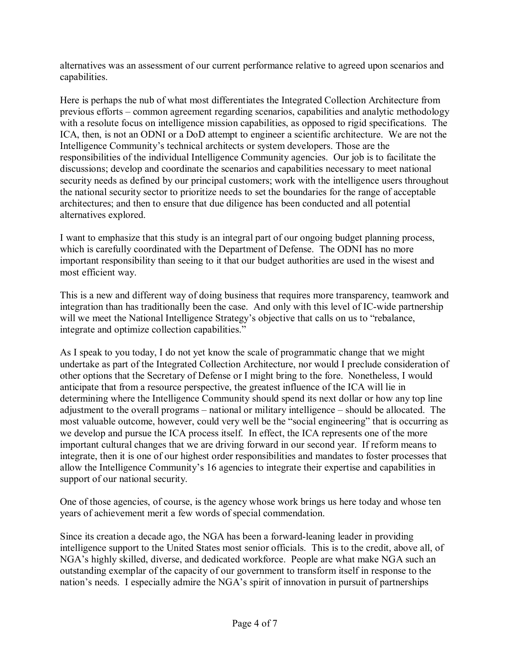alternatives was an assessment of our current performance relative to agreed upon scenarios and capabilities.

Here is perhaps the nub of what most differentiates the Integrated Collection Architecture from previous efforts – common agreement regarding scenarios, capabilities and analytic methodology with a resolute focus on intelligence mission capabilities, as opposed to rigid specifications. The ICA, then, is not an ODNI or a DoD attempt to engineer a scientific architecture. We are not the Intelligence Community's technical architects or system developers. Those are the responsibilities of the individual Intelligence Community agencies. Our job is to facilitate the discussions; develop and coordinate the scenarios and capabilities necessary to meet national security needs as defined by our principal customers; work with the intelligence users throughout the national security sector to prioritize needs to set the boundaries for the range of acceptable architectures; and then to ensure that due diligence has been conducted and all potential alternatives explored.

I want to emphasize that this study is an integral part of our ongoing budget planning process, which is carefully coordinated with the Department of Defense. The ODNI has no more important responsibility than seeing to it that our budget authorities are used in the wisest and most efficient way.

This is a new and different way of doing business that requires more transparency, teamwork and integration than has traditionally been the case. And only with this level of IC-wide partnership will we meet the National Intelligence Strategy's objective that calls on us to "rebalance, integrate and optimize collection capabilities."

As I speak to you today, I do not yet know the scale of programmatic change that we might undertake as part of the Integrated Collection Architecture, nor would I preclude consideration of other options that the Secretary of Defense or I might bring to the fore. Nonetheless, I would anticipate that from a resource perspective, the greatest influence of the ICA will lie in determining where the Intelligence Community should spend its next dollar or how any top line adjustment to the overall programs – national or military intelligence – should be allocated. The most valuable outcome, however, could very well be the "social engineering" that is occurring as we develop and pursue the ICA process itself. In effect, the ICA represents one of the more important cultural changes that we are driving forward in our second year. If reform means to integrate, then it is one of our highest order responsibilities and mandates to foster processes that allow the Intelligence Community's 16 agencies to integrate their expertise and capabilities in support of our national security.

One of those agencies, of course, is the agency whose work brings us here today and whose ten years of achievement merit a few words of special commendation.

Since its creation a decade ago, the NGA has been a forward-leaning leader in providing intelligence support to the United States most senior officials. This is to the credit, above all, of NGA's highly skilled, diverse, and dedicated workforce. People are what make NGA such an outstanding exemplar of the capacity of our government to transform itself in response to the nation's needs. I especially admire the NGA's spirit of innovation in pursuit of partnerships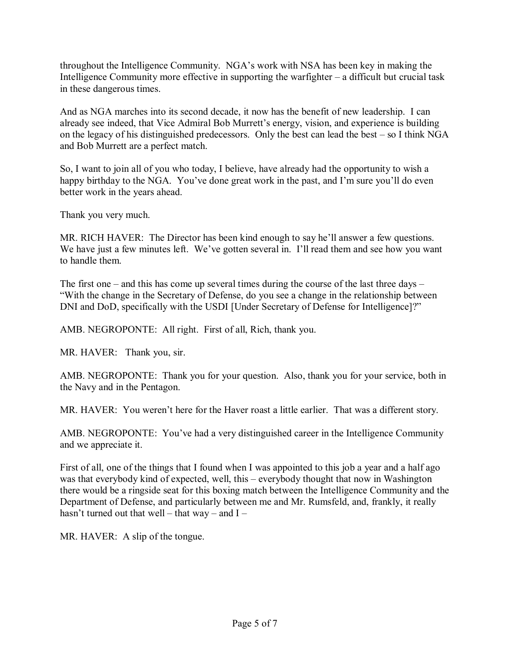throughout the Intelligence Community. NGA's work with NSA has been key in making the Intelligence Community more effective in supporting the warfighter  $-\alpha$  difficult but crucial task in these dangerous times.

And as NGA marches into its second decade, it now has the benefit of new leadership. I can already see indeed, that Vice Admiral Bob Murrett's energy, vision, and experience is building on the legacy of his distinguished predecessors. Only the best can lead the best  $-$  so I think NGA and Bob Murrett are a perfect match.

So, I want to join all of you who today, I believe, have already had the opportunity to wish a happy birthday to the NGA. You've done great work in the past, and I'm sure you'll do even better work in the years ahead.

Thank you very much.

MR. RICH HAVER: The Director has been kind enough to say he'll answer a few questions. We have just a few minutes left. We've gotten several in. I'll read them and see how you want to handle them.

The first one – and this has come up several times during the course of the last three days – ìWith the change in the Secretary of Defense, do you see a change in the relationship between DNI and DoD, specifically with the USDI [Under Secretary of Defense for Intelligence]?"

AMB. NEGROPONTE: All right. First of all, Rich, thank you.

MR. HAVER: Thank you, sir.

AMB. NEGROPONTE: Thank you for your question. Also, thank you for your service, both in the Navy and in the Pentagon.

MR. HAVER: You weren't here for the Haver roast a little earlier. That was a different story.

AMB. NEGROPONTE: You've had a very distinguished career in the Intelligence Community and we appreciate it.

First of all, one of the things that I found when I was appointed to this job a year and a half ago was that everybody kind of expected, well, this  $-$  everybody thought that now in Washington there would be a ringside seat for this boxing match between the Intelligence Community and the Department of Defense, and particularly between me and Mr. Rumsfeld, and, frankly, it really hasn't turned out that well – that way – and  $I$  –

MR. HAVER: A slip of the tongue.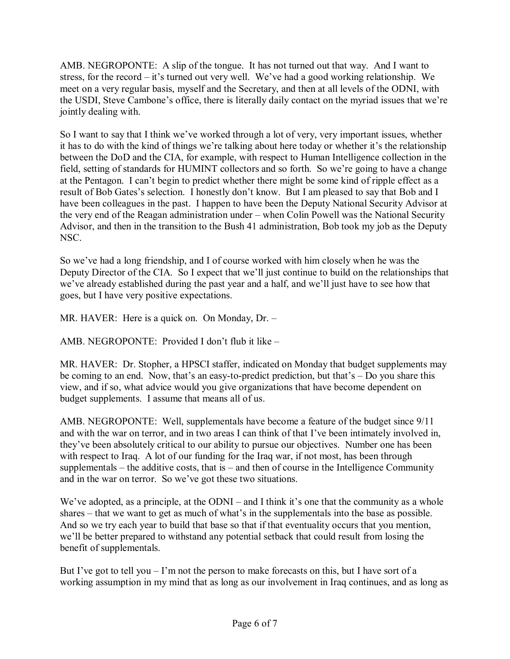AMB. NEGROPONTE: A slip of the tongue. It has not turned out that way. And I want to stress, for the record  $-\text{it}$ 's turned out very well. We've had a good working relationship. We meet on a very regular basis, myself and the Secretary, and then at all levels of the ODNI, with the USDI, Steve Cambone's office, there is literally daily contact on the myriad issues that we're jointly dealing with.

So I want to say that I think we've worked through a lot of very, very important issues, whether it has to do with the kind of things we're talking about here today or whether it's the relationship between the DoD and the CIA, for example, with respect to Human Intelligence collection in the field, setting of standards for HUMINT collectors and so forth. So we're going to have a change at the Pentagon. I can't begin to predict whether there might be some kind of ripple effect as a result of Bob Gates's selection. I honestly don't know. But I am pleased to say that Bob and I have been colleagues in the past. I happen to have been the Deputy National Security Advisor at the very end of the Reagan administration under – when Colin Powell was the National Security Advisor, and then in the transition to the Bush 41 administration, Bob took my job as the Deputy NSC.

So we've had a long friendship, and I of course worked with him closely when he was the Deputy Director of the CIA. So I expect that we'll just continue to build on the relationships that we've already established during the past year and a half, and we'll just have to see how that goes, but I have very positive expectations.

MR. HAVER: Here is a quick on. On Monday,  $Dr. -$ 

AMB. NEGROPONTE: Provided I don't flub it like  $-$ 

MR. HAVER: Dr. Stopher, a HPSCI staffer, indicated on Monday that budget supplements may be coming to an end. Now, that's an easy-to-predict prediction, but that's  $-\text{Do you share this}$ view, and if so, what advice would you give organizations that have become dependent on budget supplements. I assume that means all of us.

AMB. NEGROPONTE: Well, supplementals have become a feature of the budget since 9/11 and with the war on terror, and in two areas I can think of that I've been intimately involved in, they've been absolutely critical to our ability to pursue our objectives. Number one has been with respect to Iraq. A lot of our funding for the Iraq war, if not most, has been through supplementals  $-$  the additive costs, that is  $-$  and then of course in the Intelligence Community and in the war on terror. So we've got these two situations.

We've adopted, as a principle, at the ODNI – and I think it's one that the community as a whole shares  $-$  that we want to get as much of what's in the supplementals into the base as possible. And so we try each year to build that base so that if that eventuality occurs that you mention, we'll be better prepared to withstand any potential setback that could result from losing the benefit of supplementals.

But I've got to tell you  $\overline{\phantom{a}}$  I'm not the person to make forecasts on this, but I have sort of a working assumption in my mind that as long as our involvement in Iraq continues, and as long as